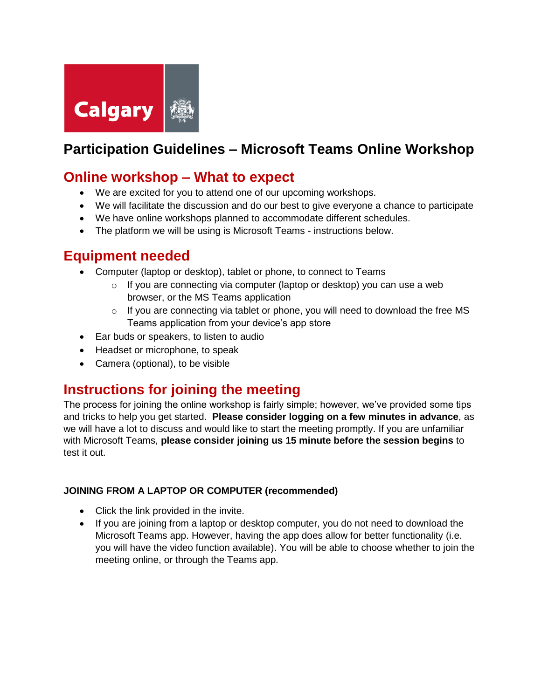

# **Participation Guidelines – Microsoft Teams Online Workshop**

### **Online workshop – What to expect**

- We are excited for you to attend one of our upcoming workshops.
- We will facilitate the discussion and do our best to give everyone a chance to participate
- We have online workshops planned to accommodate different schedules.
- The platform we will be using is Microsoft Teams instructions below.

## **Equipment needed**

- Computer (laptop or desktop), tablet or phone, to connect to Teams
	- $\circ$  If you are connecting via computer (laptop or desktop) you can use a web browser, or the MS Teams application
	- o If you are connecting via tablet or phone, you will need to download the free MS Teams application from your device's app store
- Ear buds or speakers, to listen to audio
- Headset or microphone, to speak
- Camera (optional), to be visible

## **Instructions for joining the meeting**

The process for joining the online workshop is fairly simple; however, we've provided some tips and tricks to help you get started. **Please consider logging on a few minutes in advance**, as we will have a lot to discuss and would like to start the meeting promptly. If you are unfamiliar with Microsoft Teams, **please consider joining us 15 minute before the session begins** to test it out.

#### **JOINING FROM A LAPTOP OR COMPUTER (recommended)**

- Click the link provided in the invite.
- If you are joining from a laptop or desktop computer, you do not need to download the Microsoft Teams app. However, having the app does allow for better functionality (i.e. you will have the video function available). You will be able to choose whether to join the meeting online, or through the Teams app.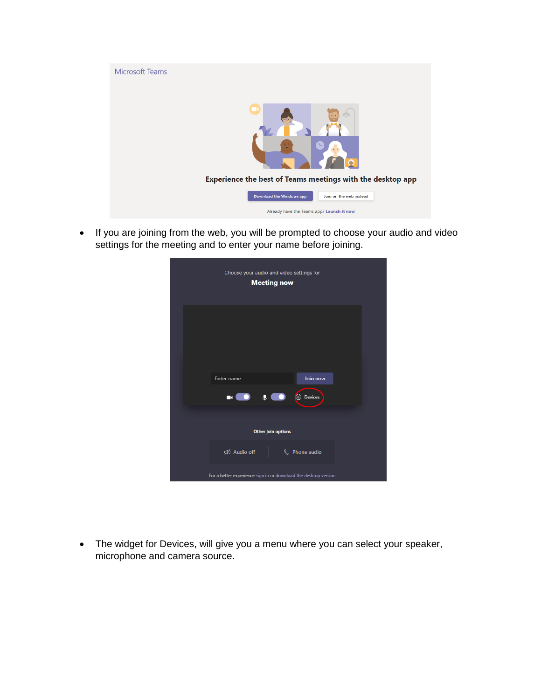

• If you are joining from the web, you will be prompted to choose your audio and video settings for the meeting and to enter your name before joining.

| Choose your audio and video settings for<br><b>Meeting now</b>  |  |
|-----------------------------------------------------------------|--|
|                                                                 |  |
|                                                                 |  |
| Join now<br>Enter name                                          |  |
| $\bigcup_{i=1}^n$ $\bigcirc$ Devices<br>$\blacksquare$          |  |
|                                                                 |  |
| <b>Other join options</b>                                       |  |
| <<br>Audio off<br>& Phone audio                                 |  |
| For a better experience sign in or download the desktop version |  |

• The widget for Devices, will give you a menu where you can select your speaker, microphone and camera source.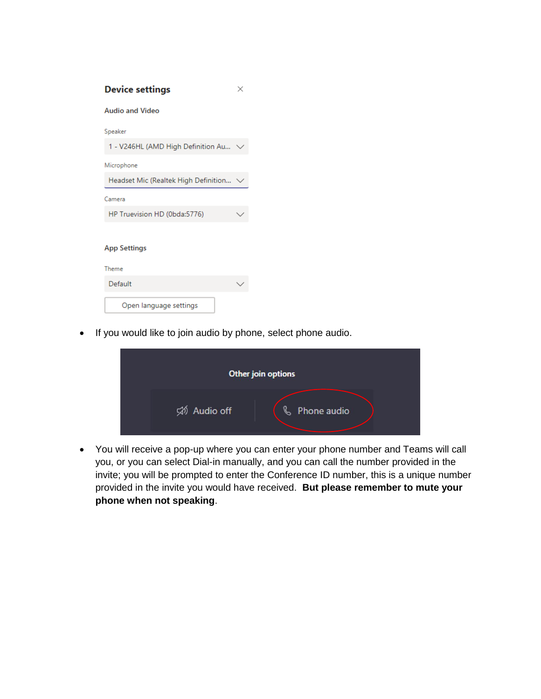| <b>Device settings</b>               |  |
|--------------------------------------|--|
| <b>Audio and Video</b>               |  |
| Speaker                              |  |
| 1 - V246HL (AMD High Definition Au   |  |
| Microphone                           |  |
| Headset Mic (Realtek High Definition |  |
| Camera                               |  |
| HP Truevision HD (0bda:5776)         |  |
| <b>App Settings</b>                  |  |
| Theme                                |  |
| Default                              |  |
| Open language settings               |  |

• If you would like to join audio by phone, select phone audio.

|              | Other join options |
|--------------|--------------------|
| Số Audio off | ß.<br>Phone audio  |

 You will receive a pop-up where you can enter your phone number and Teams will call you, or you can select Dial-in manually, and you can call the number provided in the invite; you will be prompted to enter the Conference ID number, this is a unique number provided in the invite you would have received. **But please remember to mute your phone when not speaking**.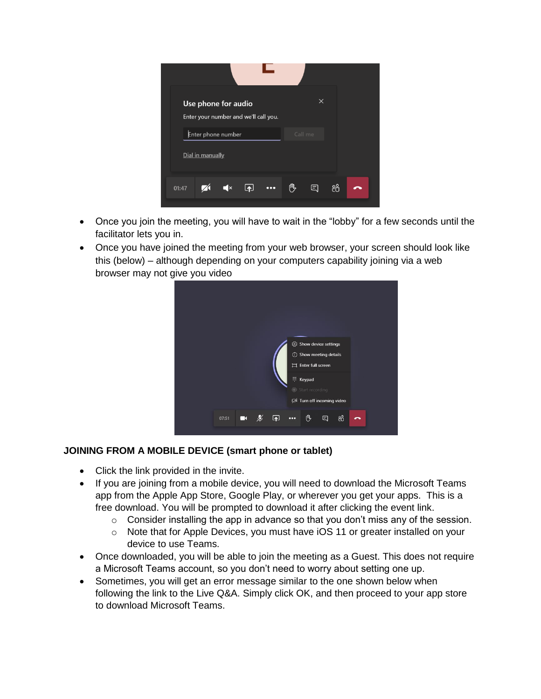

- Once you join the meeting, you will have to wait in the "lobby" for a few seconds until the facilitator lets you in.
- Once you have joined the meeting from your web browser, your screen should look like this (below) – although depending on your computers capability joining via a web browser may not give you video



#### **JOINING FROM A MOBILE DEVICE (smart phone or tablet)**

- Click the link provided in the invite.
- If you are joining from a mobile device, you will need to download the Microsoft Teams app from the Apple App Store, Google Play, or wherever you get your apps. This is a free download. You will be prompted to download it after clicking the event link.
	- o Consider installing the app in advance so that you don't miss any of the session.
	- o Note that for Apple Devices, you must have iOS 11 or greater installed on your device to use Teams.
- Once downloaded, you will be able to join the meeting as a Guest. This does not require a Microsoft Teams account, so you don't need to worry about setting one up.
- Sometimes, you will get an error message similar to the one shown below when following the link to the Live Q&A. Simply click OK, and then proceed to your app store to download Microsoft Teams.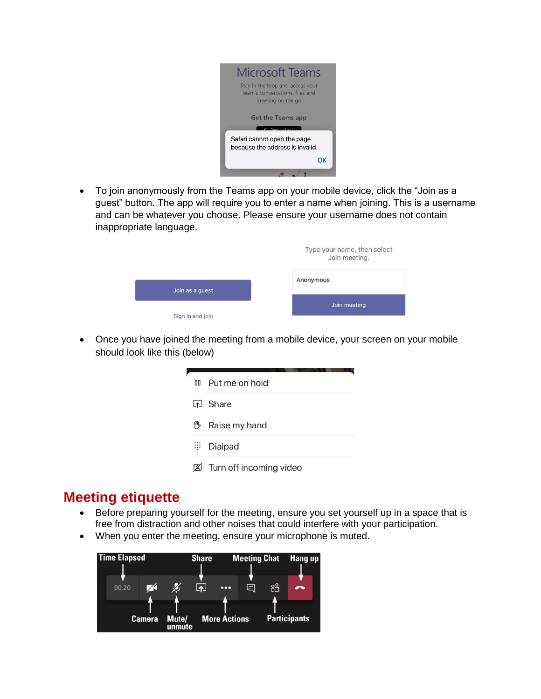

 To join anonymously from the Teams app on your mobile device, click the "Join as a guest" button. The app will require you to enter a name when joining. This is a username and can be whatever you choose. Please ensure your username does not contain inappropriate language.

|                  | Type your name, then select<br>Join meeting. |
|------------------|----------------------------------------------|
| Join as a quest  | Anonymous                                    |
| Sign in and join | Join meeting                                 |

• Once you have joined the meeting from a mobile device, your screen on your mobile should look like this (below)

| 0D         | Put me on hold          |
|------------|-------------------------|
|            | [个] Share               |
| (III)      | Raise my hand           |
| <b>III</b> | Dialpad                 |
|            | Turn off incoming video |

## **Meeting etiquette**

- Before preparing yourself for the meeting, ensure you set yourself up in a space that is free from distraction and other noises that could interfere with your participation.
- When you enter the meeting, ensure your microphone is muted.